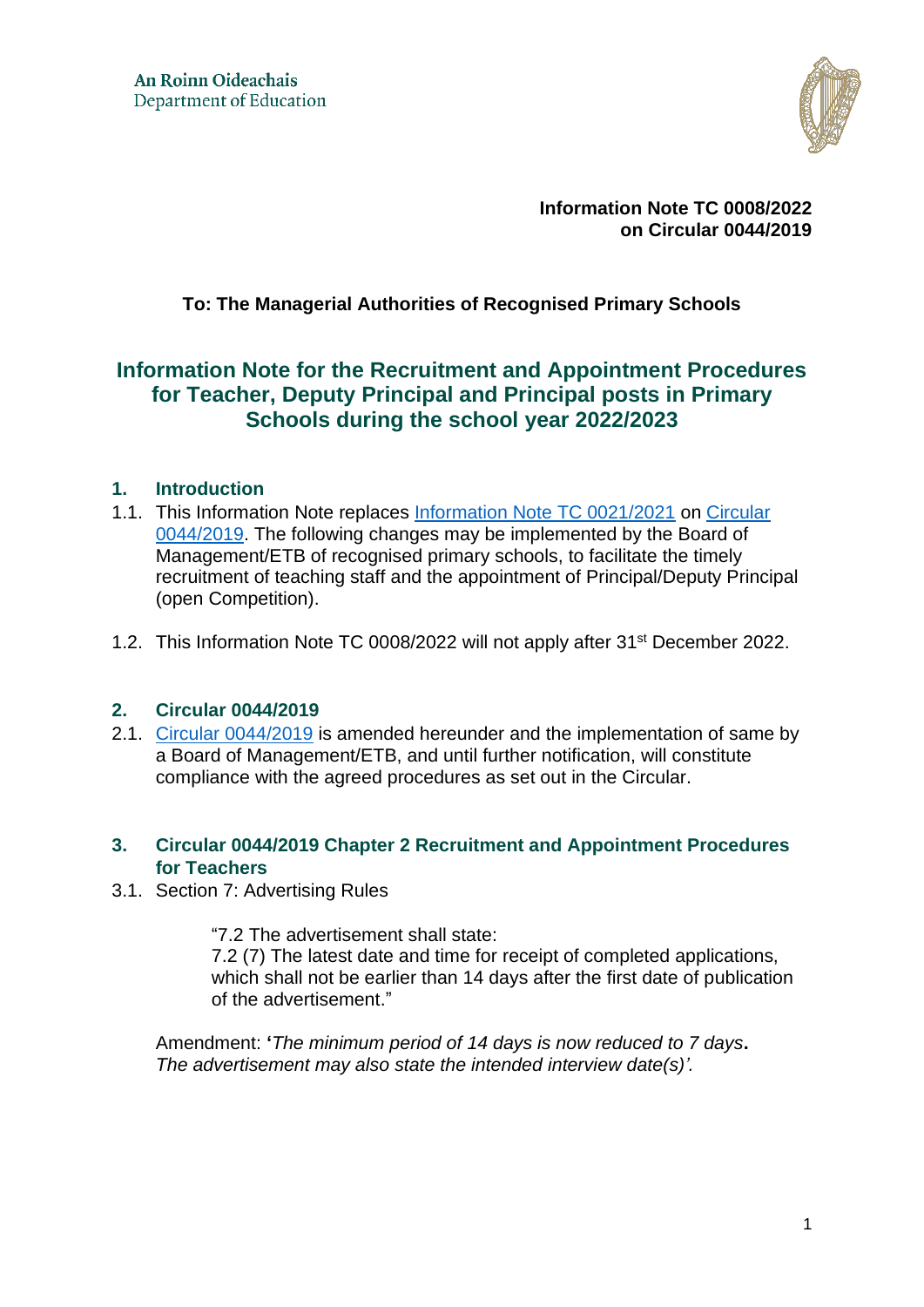

**Information Note TC 0008/2022 on Circular 0044/2019**

## **To: The Managerial Authorities of Recognised Primary Schools**

# **Information Note for the Recruitment and Appointment Procedures for Teacher, Deputy Principal and Principal posts in Primary Schools during the school year 2022/2023**

### **1. Introduction**

- 1.1. This Information Note replaces [Information Note TC 0021/2021](https://www.gov.ie/en/publication/2ffde-information-note-for-the-recruitment-and-appointment-procedures-for-teacher-deputy-principal-and-principal-posts-in-primary-schools-during-the-school-year-20212022/) on [Circular](https://assets.gov.ie/24995/e169bbffb0f24310bedab23951edb945.pdf)  [0044/2019.](https://assets.gov.ie/24995/e169bbffb0f24310bedab23951edb945.pdf) The following changes may be implemented by the Board of Management/ETB of recognised primary schools, to facilitate the timely recruitment of teaching staff and the appointment of Principal/Deputy Principal (open Competition).
- 1.2. This Information Note TC 0008/2022 will not apply after 31<sup>st</sup> December 2022.

#### **2. [Circular 0044/2019](https://www.education.ie/en/Circulars-and-Forms/Active-Circulars/cl0044_2019.pdf)**

2.1. [Circular 0044/2019](https://assets.gov.ie/24995/e169bbffb0f24310bedab23951edb945.pdf) is amended hereunder and the implementation of same by a Board of Management/ETB, and until further notification, will constitute compliance with the agreed procedures as set out in the Circular.

#### **3. Circular 0044/2019 Chapter 2 Recruitment and Appointment Procedures for Teachers**

3.1. Section 7: Advertising Rules

"7.2 The advertisement shall state:

7.2 (7) The latest date and time for receipt of completed applications, which shall not be earlier than 14 days after the first date of publication of the advertisement."

Amendment: **'***The minimum period of 14 days is now reduced to 7 days***.** *The advertisement may also state the intended interview date(s)'.*